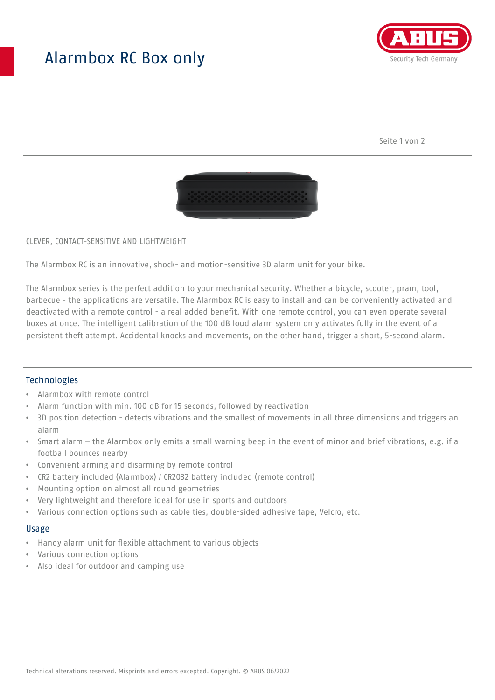## Alarmbox RC Box only



Seite 1 von 2



#### CLEVER, CONTACT-SENSITIVE AND LIGHTWEIGHT

The Alarmbox RC is an innovative, shock- and motion-sensitive 3D alarm unit for your bike.

The Alarmbox series is the perfect addition to your mechanical security. Whether a bicycle, scooter, pram, tool, barbecue - the applications are versatile. The Alarmbox RC is easy to install and can be conveniently activated and deactivated with a remote control - a real added benefit. With one remote control, you can even operate several boxes at once. The intelligent calibration of the 100 dB loud alarm system only activates fully in the event of a persistent theft attempt. Accidental knocks and movements, on the other hand, trigger a short, 5-second alarm.

## **Technologies**

- Alarmbox with remote control
- Alarm function with min. 100 dB for 15 seconds, followed by reactivation
- 3D position detection detects vibrations and the smallest of movements in all three dimensions and triggers an alarm
- Smart alarm the Alarmbox only emits a small warning beep in the event of minor and brief vibrations, e.g. if a football bounces nearby
- Convenient arming and disarming by remote control
- CR2 battery included (Alarmbox) / CR2032 battery included (remote control)
- Mounting option on almost all round geometries
- Very lightweight and therefore ideal for use in sports and outdoors
- Various connection options such as cable ties, double-sided adhesive tape, Velcro, etc.

#### Usage

- Handy alarm unit for flexible attachment to various objects
- Various connection options
- Also ideal for outdoor and camping use